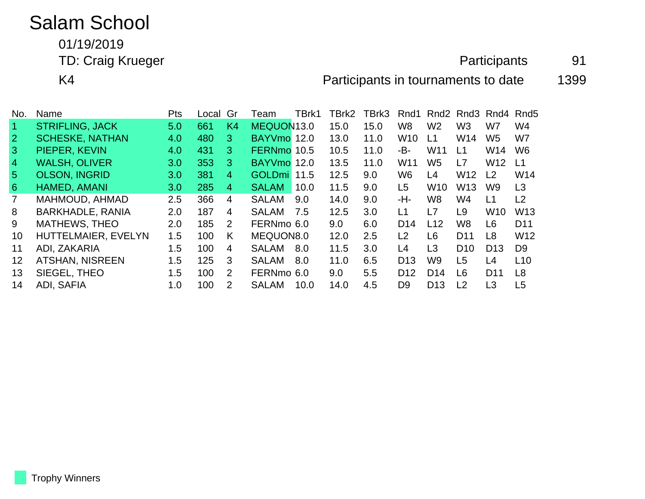# Salam School

01/19/2019

#### TD: Craig Krueger **Participants** 91

K4 **Participants in tournaments to date** 1399

| No.            | Name                    | <b>Pts</b> | Local | Gr                    | Team          | TBrk1 | TBrk2 | TBrk3 | Rnd1            | Rnd <sub>2</sub> | Rnd3            | Rnd4            | Rnd <sub>5</sub> |
|----------------|-------------------------|------------|-------|-----------------------|---------------|-------|-------|-------|-----------------|------------------|-----------------|-----------------|------------------|
|                | <b>STRIFLING, JACK</b>  | 5.0        | 661   | K <sub>4</sub>        | MEQUON13.0    |       | 15.0  | 15.0  | W <sub>8</sub>  | W <sub>2</sub>   | W <sub>3</sub>  | W7              | W4               |
| $\overline{2}$ | <b>SCHESKE, NATHAN</b>  | 4.0        | 480   | 3.                    | BAYVmo 12.0   |       | 13.0  | 11.0  | <b>W10</b>      | L1               | W14             | W5              | W7               |
| 3              | PIEPER, KEVIN           | 4.0        | 431   | 3                     | FERNmo 10.5   |       | 10.5  | 11.0  | -B-             | W11              | L1              | W14             | W <sub>6</sub>   |
| 4              | <b>WALSH, OLIVER</b>    | 3.0        | 353   | 3                     | <b>BAYVmo</b> | 12.0  | 13.5  | 11.0  | W <sub>11</sub> | W <sub>5</sub>   | L7              | W <sub>12</sub> | L <sub>1</sub>   |
| 5 <sup>5</sup> | <b>OLSON, INGRID</b>    | 3.0        | 381   | 4                     | <b>GOLDmi</b> | 11.5  | 12.5  | 9.0   | W <sub>6</sub>  | L4               | W <sub>12</sub> | L <sub>2</sub>  | W14              |
| 6              | HAMED, AMANI            | 3.0        | 285   | 4                     | <b>SALAM</b>  | 10.0  | 11.5  | 9.0   | L <sub>5</sub>  | W <sub>10</sub>  | W <sub>13</sub> | W <sub>9</sub>  | L3               |
|                | MAHMOUD, AHMAD          | 2.5        | 366   | 4                     | <b>SALAM</b>  | 9.0   | 14.0  | 9.0   | -H-             | W <sub>8</sub>   | W4              | L1              | L <sub>2</sub>   |
| 8              | <b>BARKHADLE, RANIA</b> | 2.0        | 187   | 4                     | <b>SALAM</b>  | 7.5   | 12.5  | 3.0   | L1              | L7               | L9              | W <sub>10</sub> | W <sub>13</sub>  |
| 9              | <b>MATHEWS, THEO</b>    | 2.0        | 185   | $\mathbf{2}^{\prime}$ | FERNmo 6.0    |       | 9.0   | 6.0   | D <sub>14</sub> | L12              | W <sub>8</sub>  | L <sub>6</sub>  | D <sub>11</sub>  |
| 10             | HUTTELMAIER, EVELYN     | 1.5        | 100   | K                     | MEQUON8.0     |       | 12.0  | 2.5   | L <sub>2</sub>  | L6               | D <sub>11</sub> | L <sub>8</sub>  | W <sub>12</sub>  |
| 11             | ADI, ZAKARIA            | 1.5        | 100   | 4                     | <b>SALAM</b>  | 8.0   | 11.5  | 3.0   | L4              | L3               | D <sub>10</sub> | D <sub>13</sub> | D <sub>9</sub>   |
| 12             | <b>ATSHAN, NISREEN</b>  | 1.5        | 125   | 3                     | <b>SALAM</b>  | 8.0   | 11.0  | 6.5   | D <sub>13</sub> | W <sub>9</sub>   | L5              | L4              | L10              |
| 13             | SIEGEL, THEO            | 1.5        | 100   | 2                     | FERNmo 6.0    |       | 9.0   | 5.5   | D <sub>12</sub> | D <sub>14</sub>  | L6              | D <sub>11</sub> | L <sub>8</sub>   |
| 14             | ADI, SAFIA              | 1.0        | 100   | 2                     | <b>SALAM</b>  | 10.0  | 14.0  | 4.5   | D <sub>9</sub>  | D <sub>13</sub>  | L <sub>2</sub>  | L3              | L5               |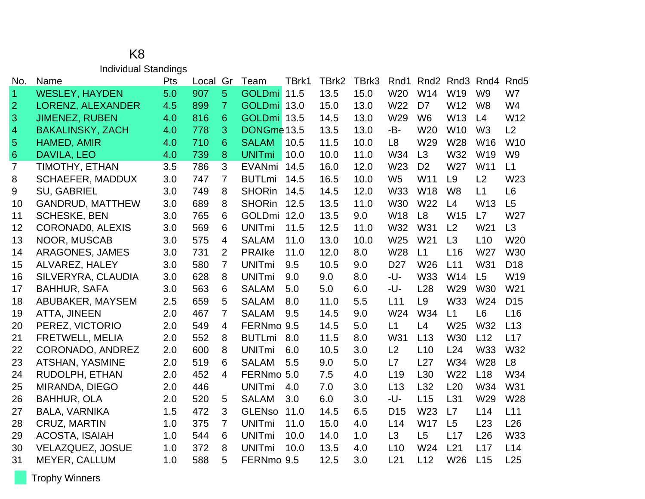#### K8 Individual Standings

| No.            | Name                    | Pts | Local | Gr             | Team          | TBrk1 | TBrk2 | TBrk3 | Rnd1            | Rnd <sub>2</sub> | Rnd3 Rnd4       |                 | Rnd <sub>5</sub> |
|----------------|-------------------------|-----|-------|----------------|---------------|-------|-------|-------|-----------------|------------------|-----------------|-----------------|------------------|
| $\overline{1}$ | <b>WESLEY, HAYDEN</b>   | 5.0 | 907   | 5              | <b>GOLDmi</b> | 11.5  | 13.5  | 15.0  | W <sub>20</sub> | W14              | W <sub>19</sub> | W <sub>9</sub>  | W7               |
| $\overline{2}$ | LORENZ, ALEXANDER       | 4.5 | 899   | $\overline{7}$ | <b>GOLDmi</b> | 13.0  | 15.0  | 13.0  | W22             | D7               | W12             | W <sub>8</sub>  | W <sub>4</sub>   |
| 3              | <b>JIMENEZ, RUBEN</b>   | 4.0 | 816   | 6              | GOLDmi 13.5   |       | 14.5  | 13.0  | W29             | W <sub>6</sub>   | W13             | L4              | W12              |
| $\overline{4}$ | <b>BAKALINSKY, ZACH</b> | 4.0 | 778   | 3              | DONGme 13.5   |       | 13.5  | 13.0  | -B-             | W <sub>20</sub>  | W <sub>10</sub> | W <sub>3</sub>  | L2               |
| $\sqrt{5}$     | HAMED, AMIR             | 4.0 | 710   | 6              | <b>SALAM</b>  | 10.5  | 11.5  | 10.0  | L <sub>8</sub>  | W29              | W28             | W <sub>16</sub> | W <sub>10</sub>  |
| $\,6\,$        | DAVILA, LEO             | 4.0 | 739   | 8              | <b>UNITmi</b> | 10.0  | 10.0  | 11.0  | W34             | L3               | W32             | W19             | W <sub>9</sub>   |
| 7              | TIMOTHY, ETHAN          | 3.5 | 786   | 3              | <b>EVANmi</b> | 14.5  | 16.0  | 12.0  | W23             | D <sub>2</sub>   | W27             | W <sub>11</sub> | L1               |
| 8              | <b>SCHAEFER, MADDUX</b> | 3.0 | 747   | $\overline{7}$ | <b>BUTLmi</b> | 14.5  | 16.5  | 10.0  | W <sub>5</sub>  | W11              | L9              | L <sub>2</sub>  | W <sub>23</sub>  |
| 9              | <b>SU, GABRIEL</b>      | 3.0 | 749   | 8              | <b>SHORin</b> | 14.5  | 14.5  | 12.0  | W33             | <b>W18</b>       | W <sub>8</sub>  | L1              | L <sub>6</sub>   |
| 10             | <b>GANDRUD, MATTHEW</b> | 3.0 | 689   | 8              | <b>SHORin</b> | 12.5  | 13.5  | 11.0  | W30             | W22              | L4              | W <sub>13</sub> | L5               |
| 11             | <b>SCHESKE, BEN</b>     | 3.0 | 765   | 6              | <b>GOLDmi</b> | 12.0  | 13.5  | 9.0   | W18             | L8               | W <sub>15</sub> | L7              | W27              |
| 12             | <b>CORONADO, ALEXIS</b> | 3.0 | 569   | 6              | <b>UNITmi</b> | 11.5  | 12.5  | 11.0  | W32             | W31              | L2              | W21             | L3               |
| 13             | NOOR, MUSCAB            | 3.0 | 575   | $\overline{4}$ | <b>SALAM</b>  | 11.0  | 13.0  | 10.0  | W25             | W21              | L3              | L10             | W20              |
| 14             | <b>ARAGONES, JAMES</b>  | 3.0 | 731   | $\overline{2}$ | <b>PRAIKe</b> | 11.0  | 12.0  | 8.0   | W28             | L1               | L16             | W27             | W30              |
| 15             | ALVAREZ, HALEY          | 3.0 | 580   | 7              | <b>UNITmi</b> | 9.5   | 10.5  | 9.0   | D <sub>27</sub> | W26              | L11             | W31             | D <sub>18</sub>  |
| 16             | SILVERYRA, CLAUDIA      | 3.0 | 628   | 8              | <b>UNITmi</b> | 9.0   | 9.0   | 8.0   | -U-             | W33              | W14             | L5              | W19              |
| 17             | <b>BAHHUR, SAFA</b>     | 3.0 | 563   | 6              | <b>SALAM</b>  | 5.0   | 5.0   | 6.0   | -U-             | L28              | W29             | <b>W30</b>      | W21              |
| 18             | ABUBAKER, MAYSEM        | 2.5 | 659   | 5              | <b>SALAM</b>  | 8.0   | 11.0  | 5.5   | L11             | L <sub>9</sub>   | W33             | W24             | D <sub>15</sub>  |
| 19             | ATTA, JINEEN            | 2.0 | 467   | $\overline{7}$ | <b>SALAM</b>  | 9.5   | 14.5  | 9.0   | W24             | W34              | L1              | L <sub>6</sub>  | L16              |
| 20             | PEREZ, VICTORIO         | 2.0 | 549   | 4              | FERNmo 9.5    |       | 14.5  | 5.0   | L1              | L4               | W25             | W32             | L13              |
| 21             | <b>FRETWELL, MELIA</b>  | 2.0 | 552   | 8              | <b>BUTLmi</b> | 8.0   | 11.5  | 8.0   | W31             | L13              | <b>W30</b>      | L12             | L17              |
| 22             | CORONADO, ANDREZ        | 2.0 | 600   | 8              | <b>UNITmi</b> | 6.0   | 10.5  | 3.0   | L2              | L10              | L24             | <b>W33</b>      | W32              |
| 23             | ATSHAN, YASMINE         | 2.0 | 519   | 6              | <b>SALAM</b>  | 5.5   | 9.0   | 5.0   | L7              | L27              | W34             | W28             | L8               |
| 24             | RUDOLPH, ETHAN          | 2.0 | 452   | 4              | FERNmo 5.0    |       | 7.5   | 4.0   | L19             | L30              | W22             | L18             | W34              |
| 25             | MIRANDA, DIEGO          | 2.0 | 446   |                | <b>UNITmi</b> | 4.0   | 7.0   | 3.0   | L13             | L32              | L20             | W34             | W31              |
| 26             | <b>BAHHUR, OLA</b>      | 2.0 | 520   | 5              | <b>SALAM</b>  | 3.0   | 6.0   | 3.0   | -U-             | L15              | L31             | W29             | W28              |
| 27             | <b>BALA, VARNIKA</b>    | 1.5 | 472   | 3              | <b>GLENso</b> | 11.0  | 14.5  | 6.5   | D <sub>15</sub> | W23              | L7              | L14             | L11              |
| 28             | <b>CRUZ, MARTIN</b>     | 1.0 | 375   | $\overline{7}$ | <b>UNITmi</b> | 11.0  | 15.0  | 4.0   | L14             | W17              | L5              | L23             | L26              |
| 29             | <b>ACOSTA, ISAIAH</b>   | 1.0 | 544   | 6              | <b>UNITmi</b> | 10.0  | 14.0  | 1.0   | L3              | L <sub>5</sub>   | L17             | L26             | W33              |
| 30             | <b>VELAZQUEZ, JOSUE</b> | 1.0 | 372   | 8              | <b>UNITmi</b> | 10.0  | 13.5  | 4.0   | L10             | W24              | L21             | L17             | L14              |
| 31             | MEYER, CALLUM           | 1.0 | 588   | 5              | FERNmo 9.5    |       | 12.5  | 3.0   | L21             | L12              | W26             | L15             | L25              |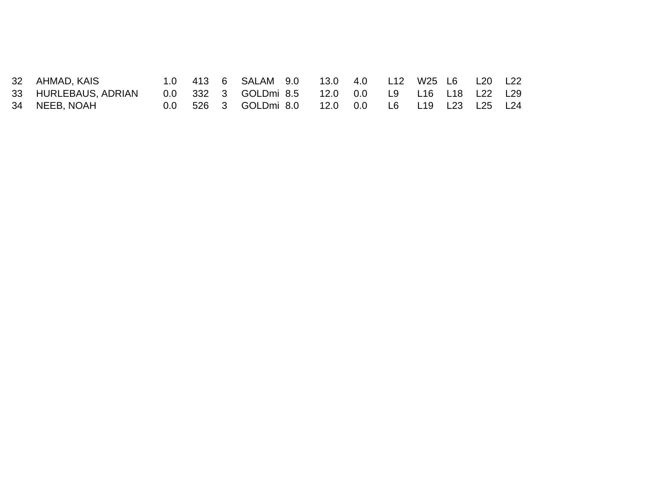| 32 AHMAD, KAIS       |  | 1.0 413 6 SALAM 9.0 13.0 4.0 L12 W25 L6 L20 L22  |  |  |  |  |
|----------------------|--|--------------------------------------------------|--|--|--|--|
| 33 HURLEBAUS, ADRIAN |  | 0.0 332 3 GOLDmi 8.5 12.0 0.0 L9 L16 L18 L22 L29 |  |  |  |  |
| 34 NEEB, NOAH        |  | 0.0 526 3 GOLDmi 8.0 12.0 0.0 L6 L19 L23 L25 L24 |  |  |  |  |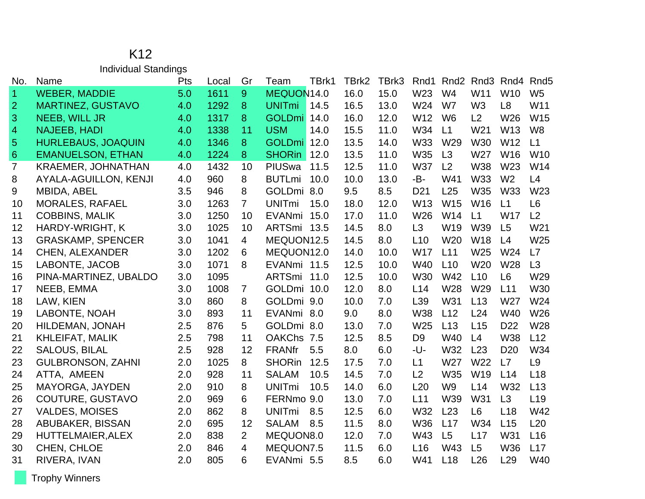#### K12 Individual Standings

| No.            | Name                      | Pts | Local | Gr             | Team          | TBrk1 | TBrk2 | TBrk3 | Rnd1            | Rnd <sub>2</sub> |                 | Rnd <sub>3</sub> Rnd <sub>4</sub> | Rnd <sub>5</sub> |
|----------------|---------------------------|-----|-------|----------------|---------------|-------|-------|-------|-----------------|------------------|-----------------|-----------------------------------|------------------|
| 1              | <b>WEBER, MADDIE</b>      | 5.0 | 1611  | 9              | MEQUON14.0    |       | 16.0  | 15.0  | W23             | W <sub>4</sub>   | W11             | W <sub>10</sub>                   | W <sub>5</sub>   |
| $\overline{2}$ | <b>MARTINEZ, GUSTAVO</b>  | 4.0 | 1292  | 8              | <b>UNITmi</b> | 14.5  | 16.5  | 13.0  | W24             | W7               | W <sub>3</sub>  | L <sub>8</sub>                    | W11              |
| 3              | <b>NEEB, WILL JR</b>      | 4.0 | 1317  | 8              | GOLDmi 14.0   |       | 16.0  | 12.0  | W12             | W <sub>6</sub>   | L2              | W26                               | W15              |
| 4              | <b>NAJEEB, HADI</b>       | 4.0 | 1338  | 11             | <b>USM</b>    | 14.0  | 15.5  | 11.0  | W34             | L1               | W <sub>21</sub> | W13                               | W <sub>8</sub>   |
| 5              | <b>HURLEBAUS, JOAQUIN</b> | 4.0 | 1346  | 8              | GOLDmi 12.0   |       | 13.5  | 14.0  | W33             | W29              | W30             | W12                               | L1               |
| $\,6\,$        | <b>EMANUELSON, ETHAN</b>  | 4.0 | 1224  | 8              | <b>SHORin</b> | 12.0  | 13.5  | 11.0  | <b>W35</b>      | L3               | W27             | W16                               | W <sub>10</sub>  |
| $\overline{7}$ | <b>KRAEMER, JOHNATHAN</b> | 4.0 | 1432  | 10             | PIUSwa        | 11.5  | 12.5  | 11.0  | <b>W37</b>      | L <sub>2</sub>   | <b>W38</b>      | W23                               | W14              |
| $\,8\,$        | AYALA-AGUILLON, KENJI     | 4.0 | 960   | 8              | <b>BUTLmi</b> | 10.0  | 10.0  | 13.0  | -B-             | W41              | <b>W33</b>      | W <sub>2</sub>                    | L4               |
| 9              | MBIDA, ABEL               | 3.5 | 946   | 8              | GOLDmi 8.0    |       | 9.5   | 8.5   | D <sub>21</sub> | L25              | <b>W35</b>      | <b>W33</b>                        | W23              |
| 10             | <b>MORALES, RAFAEL</b>    | 3.0 | 1263  | $\overline{7}$ | <b>UNITmi</b> | 15.0  | 18.0  | 12.0  | W13             | W15              | W16             | L1                                | L6               |
| 11             | <b>COBBINS, MALIK</b>     | 3.0 | 1250  | 10             | EVANmi 15.0   |       | 17.0  | 11.0  | W26             | W14              | L1              | <b>W17</b>                        | L2               |
| 12             | <b>HARDY-WRIGHT, K</b>    | 3.0 | 1025  | 10             | ARTSmi 13.5   |       | 14.5  | 8.0   | L3              | W19              | W39             | L5                                | W21              |
| 13             | <b>GRASKAMP, SPENCER</b>  | 3.0 | 1041  | 4              | MEQUON12.5    |       | 14.5  | 8.0   | L10             | W20              | W18             | L4                                | W25              |
| 14             | <b>CHEN, ALEXANDER</b>    | 3.0 | 1202  | 6              | MEQUON12.0    |       | 14.0  | 10.0  | <b>W17</b>      | L11              | W25             | W24                               | L7               |
| 15             | LABONTE, JACOB            | 3.0 | 1071  | 8              | EVANmi 11.5   |       | 12.5  | 10.0  | W40             | L10              | W <sub>20</sub> | W28                               | L3               |
| 16             | PINA-MARTINEZ, UBALDO     | 3.0 | 1095  |                | ARTSmi 11.0   |       | 12.5  | 10.0  | W30             | W42              | L10             | L <sub>6</sub>                    | W29              |
| 17             | NEEB, EMMA                | 3.0 | 1008  | $\overline{7}$ | GOLDmi 10.0   |       | 12.0  | 8.0   | L14             | W28              | W29             | L11                               | <b>W30</b>       |
| 18             | LAW, KIEN                 | 3.0 | 860   | 8              | GOLDmi 9.0    |       | 10.0  | 7.0   | L39             | W31              | L13             | W27                               | W24              |
| 19             | LABONTE, NOAH             | 3.0 | 893   | 11             | EVANmi 8.0    |       | 9.0   | 8.0   | <b>W38</b>      | L12              | L24             | W40                               | W26              |
| 20             | HILDEMAN, JONAH           | 2.5 | 876   | 5              | GOLDmi 8.0    |       | 13.0  | 7.0   | W25             | L13              | L15             | D <sub>22</sub>                   | W28              |
| 21             | <b>KHLEIFAT, MALIK</b>    | 2.5 | 798   | 11             | OAKChs 7.5    |       | 12.5  | 8.5   | D <sub>9</sub>  | W40              | L4              | <b>W38</b>                        | L12              |
| 22             | <b>SALOUS, BILAL</b>      | 2.5 | 928   | 12             | <b>FRANfr</b> | 5.5   | 8.0   | 6.0   | -U-             | W32              | L23             | D <sub>20</sub>                   | W34              |
| 23             | <b>GULBRONSON, ZAHNI</b>  | 2.0 | 1025  | 8              | <b>SHORin</b> | 12.5  | 17.5  | 7.0   | L1              | W27              | W22             | L7                                | L <sub>9</sub>   |
| 24             | ATTA, AMEEN               | 2.0 | 928   | 11             | <b>SALAM</b>  | 10.5  | 14.5  | 7.0   | L2              | W35              | W19             | L14                               | L18              |
| 25             | MAYORGA, JAYDEN           | 2.0 | 910   | 8              | <b>UNITmi</b> | 10.5  | 14.0  | 6.0   | L20             | W <sub>9</sub>   | L14             | W32                               | L13              |
| 26             | COUTURE, GUSTAVO          | 2.0 | 969   | 6              | FERNmo 9.0    |       | 13.0  | 7.0   | L11             | W39              | W31             | L3                                | L <sub>19</sub>  |
| 27             | <b>VALDES, MOISES</b>     | 2.0 | 862   | 8              | <b>UNITmi</b> | 8.5   | 12.5  | 6.0   | W32             | L23              | L6              | L18                               | <b>W42</b>       |
| 28             | ABUBAKER, BISSAN          | 2.0 | 695   | 12             | <b>SALAM</b>  | 8.5   | 11.5  | 8.0   | <b>W36</b>      | L17              | W34             | L15                               | L20              |
| 29             | <b>HUTTELMAIER, ALEX</b>  | 2.0 | 838   | $\overline{2}$ | MEQUON8.0     |       | 12.0  | 7.0   | W43             | L5               | L17             | W31                               | L16              |
| 30             | CHEN, CHLOE               | 2.0 | 846   | 4              | MEQUON7.5     |       | 11.5  | 6.0   | L16             | W43              | L5              | <b>W36</b>                        | L17              |
| 31             | RIVERA, IVAN              | 2.0 | 805   | 6              | EVANmi 5.5    |       | 8.5   | 6.0   | W41             | L18              | L26             | L <sub>29</sub>                   | W40              |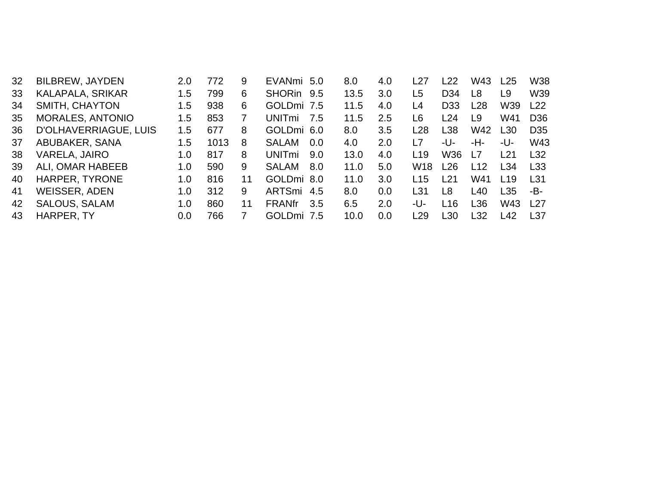| 32 | <b>BILBREW, JAYDEN</b>  | 2.0 | 772  | 9  | EVANmi 5.0    |       | 8.0  | 4.0 | L27             | L22             | W43 | L <sub>25</sub> | W38              |
|----|-------------------------|-----|------|----|---------------|-------|------|-----|-----------------|-----------------|-----|-----------------|------------------|
| 33 | KALAPALA, SRIKAR        | 1.5 | 799  | 6  | <b>SHORin</b> | 9.5   | 13.5 | 3.0 | L <sub>5</sub>  | D <sub>34</sub> | L8  | L <sub>9</sub>  | W39              |
| 34 | SMITH, CHAYTON          | 1.5 | 938  | 6  | GOLDmi 7.5    |       | 11.5 | 4.0 | L4              | D <sub>33</sub> | L28 | W39             | L22              |
| 35 | <b>MORALES, ANTONIO</b> | 1.5 | 853  | 7  | UNITmi        | - 7.5 | 11.5 | 2.5 | L6              | L24             | L9  | W41             | D <sub>36</sub>  |
| 36 | D'OLHAVERRIAGUE, LUIS   | 1.5 | 677  | 8  | GOLDmi 6.0    |       | 8.0  | 3.5 | L28             | L38             | W42 | L <sub>30</sub> | D <sub>35</sub>  |
| 37 | ABUBAKER, SANA          | 1.5 | 1013 | 8  | <b>SALAM</b>  | 0.0   | 4.0  | 2.0 | L7              | -U-             | -H- | -U-             | W43              |
| 38 | VARELA, JAIRO           | 1.0 | 817  | 8  | UNITmi        | 9.0   | 13.0 | 4.0 | L19             | W36             | L7  | l 21            | L32              |
| 39 | ALI, OMAR HABEEB        | 1.0 | 590  | 9  | <b>SALAM</b>  | 8.0   | 11.0 | 5.0 | W <sub>18</sub> | L26             | L12 | L34             | L <sub>33</sub>  |
| 40 | HARPER, TYRONE          | 1.0 | 816  | 11 | GOLDmi 8.0    |       | 11.0 | 3.0 | L15             | L21             | W41 | L19             | L31              |
| 41 | <b>WEISSER, ADEN</b>    | 1.0 | 312  | 9  | ARTSmi 4.5    |       | 8.0  | 0.0 | L31             | L8              | L40 | L35             | -B-              |
| 42 | <b>SALOUS, SALAM</b>    | 1.0 | 860  | 11 | <b>FRANfr</b> | 3.5   | 6.5  | 2.0 | -U-             | L <sub>16</sub> | L36 | W43             | l 27             |
| 43 | HARPER, TY              | 0.0 | 766  | 7  | GOLDmi 7.5    |       | 10.0 | 0.0 | l 29            | L30             | L32 | L42             | L <sub>3</sub> 7 |
|    |                         |     |      |    |               |       |      |     |                 |                 |     |                 |                  |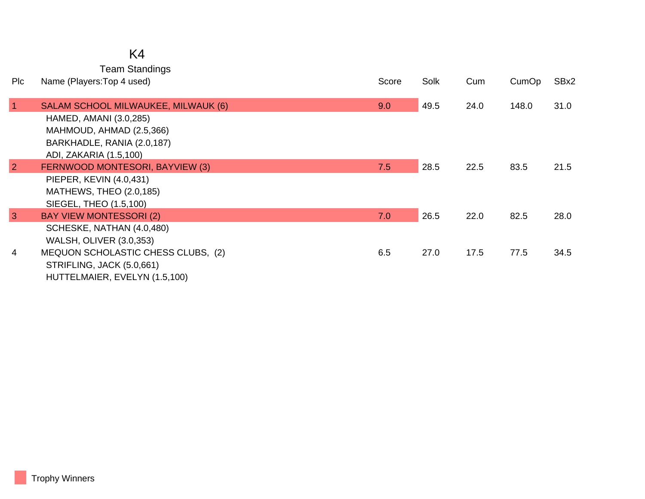## K4

Team Standings

| <b>PIc</b>   | Name (Players: Top 4 used)          | Score | Solk | Cum  | CumOp | SBx2 |
|--------------|-------------------------------------|-------|------|------|-------|------|
| $\mathbf{1}$ | SALAM SCHOOL MILWAUKEE, MILWAUK (6) | 9.0   | 49.5 | 24.0 | 148.0 | 31.0 |
|              | HAMED, AMANI (3.0,285)              |       |      |      |       |      |
|              | MAHMOUD, AHMAD (2.5,366)            |       |      |      |       |      |
|              | BARKHADLE, RANIA (2.0,187)          |       |      |      |       |      |
|              | ADI, ZAKARIA (1.5,100)              |       |      |      |       |      |
| 2            | FERNWOOD MONTESORI, BAYVIEW (3)     | 7.5   | 28.5 | 22.5 | 83.5  | 21.5 |
|              | PIEPER, KEVIN (4.0,431)             |       |      |      |       |      |
|              | MATHEWS, THEO (2.0,185)             |       |      |      |       |      |
|              | SIEGEL, THEO (1.5,100)              |       |      |      |       |      |
| 3            | <b>BAY VIEW MONTESSORI (2)</b>      | 7.0   | 26.5 | 22.0 | 82.5  | 28.0 |
|              | SCHESKE, NATHAN (4.0,480)           |       |      |      |       |      |
|              | <b>WALSH, OLIVER (3.0,353)</b>      |       |      |      |       |      |
| 4            | MEQUON SCHOLASTIC CHESS CLUBS, (2)  | 6.5   | 27.0 | 17.5 | 77.5  | 34.5 |
|              | STRIFLING, JACK (5.0,661)           |       |      |      |       |      |
|              | HUTTELMAIER, EVELYN (1.5,100)       |       |      |      |       |      |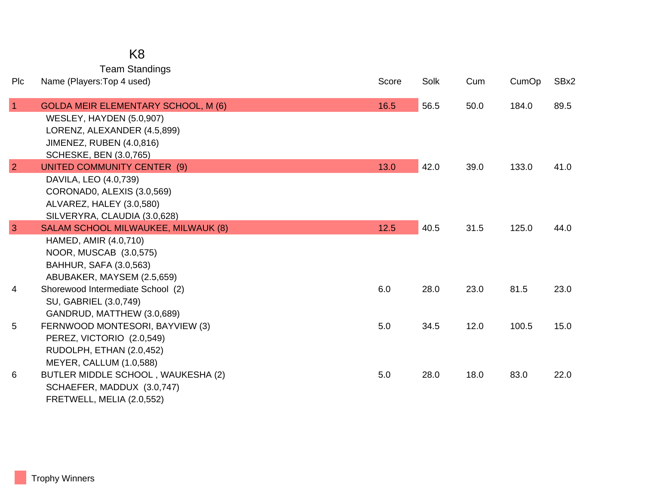Team Standings

| Plc             | Name (Players: Top 4 used)                                          | Score | Solk | Cum  | CumOp | SBx2 |
|-----------------|---------------------------------------------------------------------|-------|------|------|-------|------|
| $\vert$ 1       | <b>GOLDA MEIR ELEMENTARY SCHOOL, M (6)</b>                          | 16.5  | 56.5 | 50.0 | 184.0 | 89.5 |
|                 | WESLEY, HAYDEN (5.0,907)                                            |       |      |      |       |      |
|                 | LORENZ, ALEXANDER (4.5,899)                                         |       |      |      |       |      |
|                 | <b>JIMENEZ, RUBEN (4.0,816)</b>                                     |       |      |      |       |      |
|                 | <b>SCHESKE, BEN (3.0,765)</b>                                       |       |      |      |       |      |
| $\overline{2}$  | UNITED COMMUNITY CENTER (9)                                         | 13.0  | 42.0 | 39.0 | 133.0 | 41.0 |
|                 | DAVILA, LEO (4.0,739)                                               |       |      |      |       |      |
|                 | CORONADO, ALEXIS (3.0,569)                                          |       |      |      |       |      |
|                 | ALVAREZ, HALEY (3.0,580)                                            |       |      |      |       |      |
|                 | SILVERYRA, CLAUDIA (3.0,628)                                        |       |      |      |       |      |
| $\overline{3}$  | <b>SALAM SCHOOL MILWAUKEE, MILWAUK (8)</b><br>HAMED, AMIR (4.0,710) | 12.5  | 40.5 | 31.5 | 125.0 | 44.0 |
|                 | NOOR, MUSCAB (3.0,575)                                              |       |      |      |       |      |
|                 | BAHHUR, SAFA (3.0,563)                                              |       |      |      |       |      |
|                 | ABUBAKER, MAYSEM (2.5,659)                                          |       |      |      |       |      |
| 4               | Shorewood Intermediate School (2)                                   | 6.0   | 28.0 | 23.0 | 81.5  | 23.0 |
|                 | SU, GABRIEL (3.0,749)                                               |       |      |      |       |      |
|                 | GANDRUD, MATTHEW (3.0,689)                                          |       |      |      |       |      |
| $5\phantom{.0}$ | FERNWOOD MONTESORI, BAYVIEW (3)                                     | 5.0   | 34.5 | 12.0 | 100.5 | 15.0 |
|                 | PEREZ, VICTORIO (2.0,549)                                           |       |      |      |       |      |
|                 | RUDOLPH, ETHAN (2.0,452)                                            |       |      |      |       |      |
|                 | MEYER, CALLUM (1.0,588)                                             |       |      |      |       |      |
| 6               | BUTLER MIDDLE SCHOOL, WAUKESHA (2)                                  | 5.0   | 28.0 | 18.0 | 83.0  | 22.0 |
|                 | SCHAEFER, MADDUX (3.0,747)                                          |       |      |      |       |      |
|                 | FRETWELL, MELIA (2.0,552)                                           |       |      |      |       |      |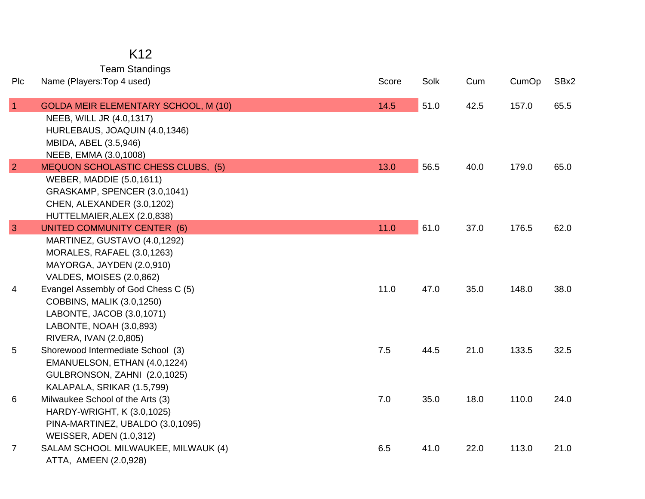### K12

Team Standings

| Plc            | Name (Players: Top 4 used)                | Score | Solk | Cum  | CumOp | SBx2 |
|----------------|-------------------------------------------|-------|------|------|-------|------|
| $\overline{1}$ | GOLDA MEIR ELEMENTARY SCHOOL, M (10)      | 14.5  | 51.0 | 42.5 | 157.0 | 65.5 |
|                | NEEB, WILL JR (4.0,1317)                  |       |      |      |       |      |
|                | HURLEBAUS, JOAQUIN (4.0,1346)             |       |      |      |       |      |
|                | MBIDA, ABEL (3.5,946)                     |       |      |      |       |      |
|                | NEEB, EMMA (3.0,1008)                     |       |      |      |       |      |
| $\overline{2}$ | <b>MEQUON SCHOLASTIC CHESS CLUBS, (5)</b> | 13.0  | 56.5 | 40.0 | 179.0 | 65.0 |
|                | <b>WEBER, MADDIE (5.0,1611)</b>           |       |      |      |       |      |
|                | GRASKAMP, SPENCER (3.0,1041)              |       |      |      |       |      |
|                | CHEN, ALEXANDER (3.0,1202)                |       |      |      |       |      |
|                | HUTTELMAIER, ALEX (2.0,838)               |       |      |      |       |      |
| $\overline{3}$ | <b>UNITED COMMUNITY CENTER (6)</b>        | 11.0  | 61.0 | 37.0 | 176.5 | 62.0 |
|                | MARTINEZ, GUSTAVO (4.0,1292)              |       |      |      |       |      |
|                | MORALES, RAFAEL (3.0,1263)                |       |      |      |       |      |
|                | MAYORGA, JAYDEN (2.0,910)                 |       |      |      |       |      |
|                | VALDES, MOISES (2.0,862)                  |       |      |      |       |      |
| 4              | Evangel Assembly of God Chess C (5)       | 11.0  | 47.0 | 35.0 | 148.0 | 38.0 |
|                | <b>COBBINS, MALIK (3.0,1250)</b>          |       |      |      |       |      |
|                | LABONTE, JACOB (3.0,1071)                 |       |      |      |       |      |
|                | LABONTE, NOAH (3.0,893)                   |       |      |      |       |      |
|                | RIVERA, IVAN (2.0,805)                    |       |      |      |       |      |
| 5              | Shorewood Intermediate School (3)         | 7.5   | 44.5 | 21.0 | 133.5 | 32.5 |
|                | EMANUELSON, ETHAN (4.0,1224)              |       |      |      |       |      |
|                | GULBRONSON, ZAHNI (2.0,1025)              |       |      |      |       |      |
|                | KALAPALA, SRIKAR (1.5,799)                |       |      |      |       |      |
| 6              | Milwaukee School of the Arts (3)          | 7.0   | 35.0 | 18.0 | 110.0 | 24.0 |
|                | HARDY-WRIGHT, K (3.0,1025)                |       |      |      |       |      |
|                | PINA-MARTINEZ, UBALDO (3.0,1095)          |       |      |      |       |      |
|                | <b>WEISSER, ADEN (1.0,312)</b>            |       |      |      |       |      |
| $\overline{7}$ | SALAM SCHOOL MILWAUKEE, MILWAUK (4)       | 6.5   | 41.0 | 22.0 | 113.0 | 21.0 |
|                | ATTA, AMEEN (2.0,928)                     |       |      |      |       |      |